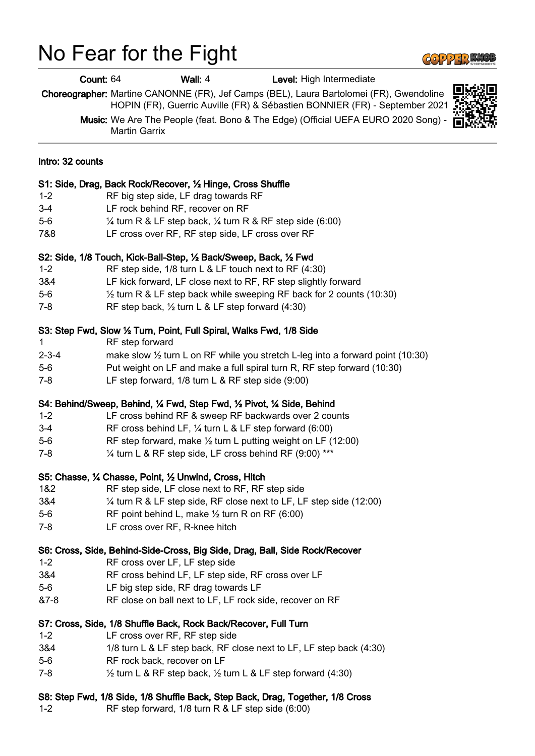## No Fear for the Fight



|                  | Count: 64                                                                                                 |                 | Wall: 4                                                              | Level: High Intermediate                                                                                                                                              |  |
|------------------|-----------------------------------------------------------------------------------------------------------|-----------------|----------------------------------------------------------------------|-----------------------------------------------------------------------------------------------------------------------------------------------------------------------|--|
|                  |                                                                                                           |                 |                                                                      | Choreographer: Martine CANONNE (FR), Jef Camps (BEL), Laura Bartolomei (FR), Gwendoline<br>HOPIN (FR), Guerric Auville (FR) & Sébastien BONNIER (FR) - September 2021 |  |
|                  | Music: We Are The People (feat. Bono & The Edge) (Official UEFA EURO 2020 Song) -<br><b>Martin Garrix</b> |                 |                                                                      |                                                                                                                                                                       |  |
| Intro: 32 counts |                                                                                                           |                 |                                                                      |                                                                                                                                                                       |  |
|                  |                                                                                                           |                 | S1: Side, Drag, Back Rock/Recover, 1/2 Hinge, Cross Shuffle          |                                                                                                                                                                       |  |
| $1 - 2$          |                                                                                                           |                 | RF big step side, LF drag towards RF                                 |                                                                                                                                                                       |  |
| $3 - 4$          |                                                                                                           |                 | LF rock behind RF, recover on RF                                     |                                                                                                                                                                       |  |
| $5-6$            |                                                                                                           |                 |                                                                      | $\frac{1}{4}$ turn R & LF step back, $\frac{1}{4}$ turn R & RF step side (6:00)                                                                                       |  |
| 7&8              |                                                                                                           |                 | LF cross over RF, RF step side, LF cross over RF                     |                                                                                                                                                                       |  |
|                  |                                                                                                           |                 | S2: Side, 1/8 Touch, Kick-Ball-Step, 1/2 Back/Sweep, Back, 1/2 Fwd   |                                                                                                                                                                       |  |
| $1 - 2$          |                                                                                                           |                 |                                                                      | RF step side, 1/8 turn L & LF touch next to RF (4:30)                                                                                                                 |  |
| 3&4              |                                                                                                           |                 |                                                                      | LF kick forward, LF close next to RF, RF step slightly forward                                                                                                        |  |
| $5-6$            |                                                                                                           |                 |                                                                      | 1/2 turn R & LF step back while sweeping RF back for 2 counts (10:30)                                                                                                 |  |
| $7 - 8$          |                                                                                                           |                 | RF step back, 1/2 turn L & LF step forward (4:30)                    |                                                                                                                                                                       |  |
|                  |                                                                                                           |                 | S3: Step Fwd, Slow 1/2 Turn, Point, Full Spiral, Walks Fwd, 1/8 Side |                                                                                                                                                                       |  |
| $\mathbf 1$      |                                                                                                           | RF step forward |                                                                      |                                                                                                                                                                       |  |
| $2 - 3 - 4$      |                                                                                                           |                 |                                                                      | make slow $\frac{1}{2}$ turn L on RF while you stretch L-leg into a forward point (10:30)                                                                             |  |
| $5-6$            |                                                                                                           |                 |                                                                      | Put weight on LF and make a full spiral turn R, RF step forward (10:30)                                                                                               |  |
| $7 - 8$          |                                                                                                           |                 | LF step forward, 1/8 turn L & RF step side (9:00)                    |                                                                                                                                                                       |  |
|                  |                                                                                                           |                 |                                                                      | S4: Behind/Sweep, Behind, 1/4 Fwd, Step Fwd, 1/2 Pivot, 1/4 Side, Behind                                                                                              |  |
| $1 - 2$          |                                                                                                           |                 |                                                                      | LF cross behind RF & sweep RF backwards over 2 counts                                                                                                                 |  |
| $3 - 4$          |                                                                                                           |                 |                                                                      | RF cross behind LF, $\frac{1}{4}$ turn L & LF step forward (6:00)                                                                                                     |  |
| $5-6$            |                                                                                                           |                 |                                                                      | RF step forward, make $\frac{1}{2}$ turn L putting weight on LF (12:00)                                                                                               |  |
| $7 - 8$          |                                                                                                           |                 |                                                                      | 1/4 turn L & RF step side, LF cross behind RF (9:00) ***                                                                                                              |  |
|                  |                                                                                                           |                 | S5: Chasse, 1⁄4 Chasse, Point, 1/2 Unwind, Cross, Hitch              |                                                                                                                                                                       |  |
| 1&2              |                                                                                                           |                 | RF step side, LF close next to RF, RF step side                      |                                                                                                                                                                       |  |
| 3&4              |                                                                                                           |                 |                                                                      | $\frac{1}{4}$ turn R & LF step side, RF close next to LF, LF step side (12:00)                                                                                        |  |
| $5-6$            |                                                                                                           |                 | RF point behind L, make $\frac{1}{2}$ turn R on RF (6:00)            |                                                                                                                                                                       |  |
| $7 - 8$          |                                                                                                           |                 | LF cross over RF, R-knee hitch                                       |                                                                                                                                                                       |  |
|                  |                                                                                                           |                 |                                                                      | S6: Cross, Side, Behind-Side-Cross, Big Side, Drag, Ball, Side Rock/Recover                                                                                           |  |
| $1 - 2$          |                                                                                                           |                 | RF cross over LF, LF step side                                       |                                                                                                                                                                       |  |
| 3&4              |                                                                                                           |                 | RF cross behind LF, LF step side, RF cross over LF                   |                                                                                                                                                                       |  |
| $5-6$            |                                                                                                           |                 | LF big step side, RF drag towards LF                                 |                                                                                                                                                                       |  |
| $87 - 8$         |                                                                                                           |                 |                                                                      | RF close on ball next to LF, LF rock side, recover on RF                                                                                                              |  |
|                  |                                                                                                           |                 | S7: Cross, Side, 1/8 Shuffle Back, Rock Back/Recover, Full Turn      |                                                                                                                                                                       |  |
| $1 - 2$          |                                                                                                           |                 | LF cross over RF, RF step side                                       |                                                                                                                                                                       |  |
| 3&4              |                                                                                                           |                 |                                                                      | 1/8 turn L & LF step back, RF close next to LF, LF step back (4:30)                                                                                                   |  |
| $5-6$            |                                                                                                           |                 | RF rock back, recover on LF                                          |                                                                                                                                                                       |  |
| $7 - 8$          |                                                                                                           |                 |                                                                      | $\frac{1}{2}$ turn L & RF step back, $\frac{1}{2}$ turn L & LF step forward (4:30)                                                                                    |  |
|                  |                                                                                                           |                 |                                                                      | S8: Step Fwd, 1/8 Side, 1/8 Shuffle Back, Step Back, Drag, Together, 1/8 Cross                                                                                        |  |

1-2 RF step forward, 1/8 turn R & LF step side (6:00)